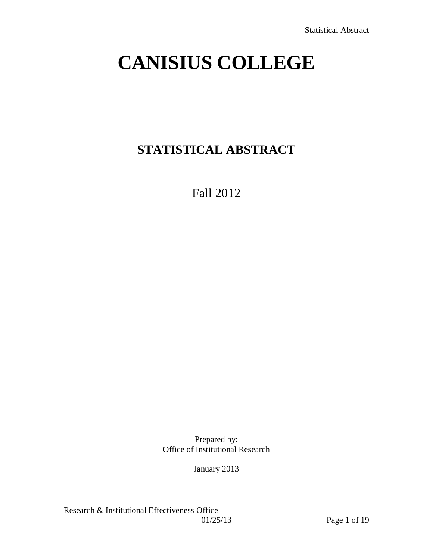# **CANISIUS COLLEGE**

# **STATISTICAL ABSTRACT**

Fall 2012

Prepared by: Office of Institutional Research

January 2013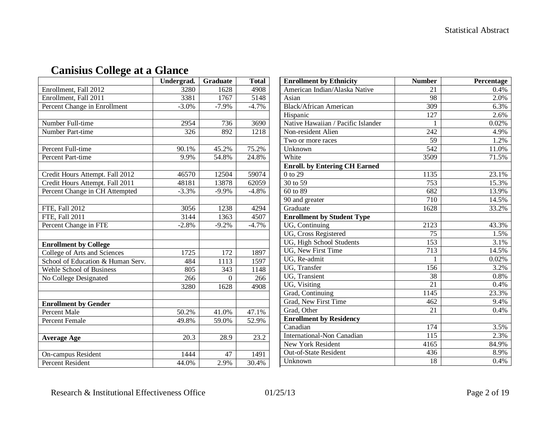|                                   | Undergrad. | <b>Graduate</b> | <b>Total</b> |
|-----------------------------------|------------|-----------------|--------------|
| Enrollment, Fall 2012             | 3280       | 1628            | 4908         |
| Enrollment, Fall 2011             | 3381       | 1767            | 5148         |
| Percent Change in Enrollment      | $-3.0\%$   | $-7.9%$         | $-4.7%$      |
|                                   |            |                 |              |
| Number Full-time                  | 2954       | 736             | 3690         |
| Number Part-time                  | 326        | 892             | 1218         |
|                                   |            |                 |              |
| Percent Full-time                 | 90.1%      | 45.2%           | 75.2%        |
| Percent Part-time                 | 9.9%       | 54.8%           | 24.8%        |
|                                   |            |                 |              |
| Credit Hours Attempt. Fall 2012   | 46570      | 12504           | 59074        |
| Credit Hours Attempt. Fall 2011   | 48181      | 13878           | 62059        |
| Percent Change in CH Attempted    | $-3.3%$    | $-9.9%$         | $-4.8%$      |
|                                   |            |                 |              |
| FTE, Fall 2012                    | 3056       | 1238            | 4294         |
| <b>FTE, Fall 2011</b>             | 3144       | 1363            | 4507         |
| Percent Change in FTE             | $-2.8%$    | $-9.2%$         | $-4.7%$      |
|                                   |            |                 |              |
| <b>Enrollment by College</b>      |            |                 |              |
| College of Arts and Sciences      | 1725       | 172             | 1897         |
| School of Education & Human Serv. | 484        | 1113            | 1597         |
| Wehle School of Business          | 805        | 343             | 1148         |
| No College Designated             | 266        | $\theta$        | 266          |
|                                   | 3280       | 1628            | 4908         |
|                                   |            |                 |              |
| <b>Enrollment by Gender</b>       |            |                 |              |
| <b>Percent Male</b>               | 50.2%      | 41.0%           | 47.1%        |
| <b>Percent Female</b>             | 49.8%      | 59.0%           | 52.9%        |
|                                   |            |                 |              |
| <b>Average Age</b>                | 20.3       | 28.9            | 23.2         |
|                                   |            |                 |              |
| On-campus Resident                | 1444       | 47              | 1491         |
| Percent Resident                  | 44.0%      | 2.9%            | 30.4%        |

## **Canisius College at a Glance**

| <b>Enrollment by Ethnicity</b>       | <b>Number</b>    | Percentage |
|--------------------------------------|------------------|------------|
| American Indian/Alaska Native        | 21               | 0.4%       |
| Asian                                | 98               | 2.0%       |
| <b>Black/African American</b>        | $\overline{309}$ | 6.3%       |
| Hispanic                             | $\overline{127}$ | 2.6%       |
| Native Hawaiian / Pacific Islander   | 1                | 0.02%      |
| Non-resident Alien                   | $\overline{242}$ | 4.9%       |
| Two or more races                    | 59               | 1.2%       |
| Unknown                              | 542              | 11.0%      |
| White                                | 3509             | 71.5%      |
| <b>Enroll.</b> by Entering CH Earned |                  |            |
| 0 to 29                              | 1135             | 23.1%      |
| 30 to 59                             | 753              | 15.3%      |
| 60 to 89                             | 682              | 13.9%      |
| 90 and greater                       | 710              | 14.5%      |
| Graduate                             | 1628             | 33.2%      |
| <b>Enrollment by Student Type</b>    |                  |            |
| UG, Continuing                       | 2123             | 43.3%      |
| UG, Cross Registered                 | 75               | 1.5%       |
| UG, High School Students             | 153              | 3.1%       |
| UG, New First Time                   | 713              | 14.5%      |
| UG, Re-admit                         | 1                | 0.02%      |
| UG, Transfer                         | 156              | 3.2%       |
| <b>UG</b> , Transient                | 38               | 0.8%       |
| UG, Visiting                         | 21               | 0.4%       |
| Grad, Continuing                     | 1145             | 23.3%      |
| Grad, New First Time                 | 462              | 9.4%       |
| Grad, Other                          | 21               | 0.4%       |
| <b>Enrollment by Residency</b>       |                  |            |
| Canadian                             | 174              | 3.5%       |
| <b>International-Non Canadian</b>    | 115              | 2.3%       |
| <b>New York Resident</b>             | 4165             | 84.9%      |
| Out-of-State Resident                | 436              | 8.9%       |
| Unknown                              | 18               | 0.4%       |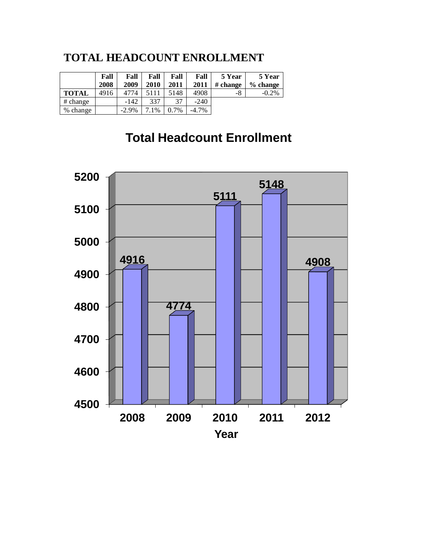## **TOTAL HEADCOUNT ENROLLMENT**

|              | Fall<br>2008 | Fall<br>2009 | Fall<br>2010 | Fall<br>2011 | Fall<br>2011 | 5 Year<br># change | 5 Year<br>$\%$ change |
|--------------|--------------|--------------|--------------|--------------|--------------|--------------------|-----------------------|
| <b>TOTAL</b> | 4916         | 4774         | 5111         | 5148         | 4908         | -8                 | $-0.2\%$              |
| # change     |              | $-142$       | 337          | 37           | $-240$       |                    |                       |
| % change     |              | $-2.9\%$     | 7.1%         | 0.7%         | $-4.7\%$     |                    |                       |

## **Total Headcount Enrollment**

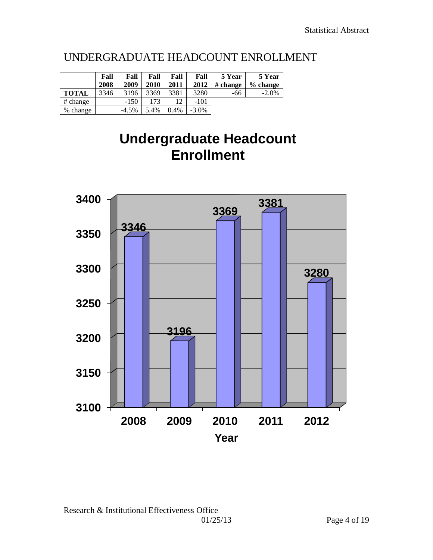## UNDERGRADUATE HEADCOUNT ENROLLMENT

|              | Fall<br>2008 | Fall<br>2009 | Fall<br>2010 | Fall<br>2011 | Fall<br>2012 | 5 Year<br># change | 5 Year<br>$%$ change |
|--------------|--------------|--------------|--------------|--------------|--------------|--------------------|----------------------|
| <b>TOTAL</b> | 3346         | 3196         | 3369         | 3381         | 3280         | -66                | $-2.0\%$             |
| # change     |              | $-150$       | 173          |              | $-101$       |                    |                      |
| % change     |              | $-4.5\%$     | 5.4%         | 0.4%         | $-3.0\%$     |                    |                      |

# **Undergraduate Headcount Enrollment**

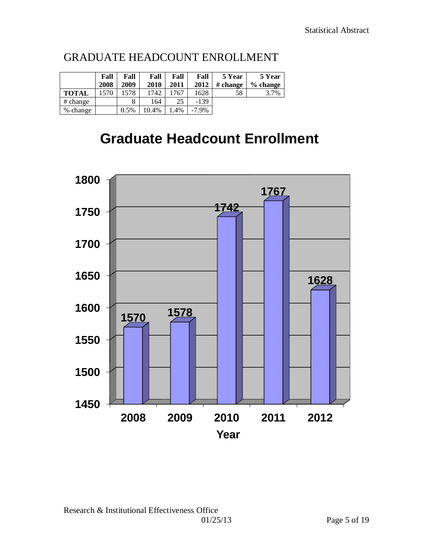|              | Fall<br>2008 | Fall<br>2009 | Fall<br>2010 | Fall<br>2011 | Fall<br>2012 | 5 Year<br># change | 5 Year<br>$%$ change |
|--------------|--------------|--------------|--------------|--------------|--------------|--------------------|----------------------|
| <b>TOTAL</b> | 1570         | 578          | 1742         | 1767         | 1628         | 58                 | 3.7%                 |
| # change     |              |              | 164          | 25           | $-139$       |                    |                      |
| % change     |              | 0.5%         | 10.4%        | $.4\%$       | $-7.9\%$     |                    |                      |

## GRADUATE HEADCOUNT ENROLLMENT

# **Graduate Headcount Enrollment**

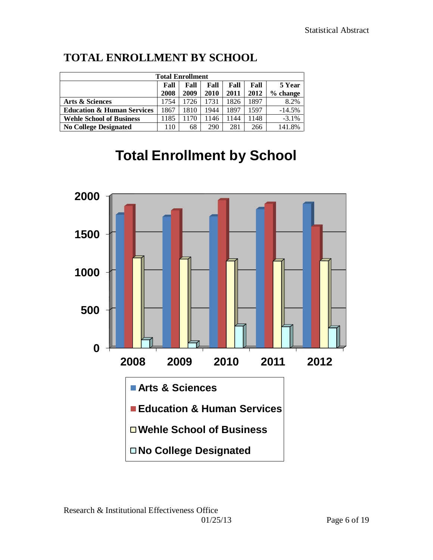| <b>Total Enrollment</b>                        |      |      |      |      |      |            |  |  |  |
|------------------------------------------------|------|------|------|------|------|------------|--|--|--|
| 5 Year<br>Fall<br>Fall<br>Fall<br>Fall<br>Fall |      |      |      |      |      |            |  |  |  |
|                                                | 2008 | 2009 | 2010 | 2011 | 2012 | $%$ change |  |  |  |
| Arts & Sciences                                | 1754 | 1726 | 1731 | 1826 | 1897 | 8.2%       |  |  |  |
| <b>Education &amp; Human Services</b>          | 1867 | 1810 | 944  | 1897 | 1597 | $-14.5%$   |  |  |  |
| <b>Wehle School of Business</b>                | 1185 | 1170 | 146  | 1144 | 1148 | $-3.1\%$   |  |  |  |
| <b>No College Designated</b>                   | 10   | 68   | 290  | 281  | 266  | 141.8%     |  |  |  |

## **TOTAL ENROLLMENT BY SCHOOL**

# **Total Enrollment by School**

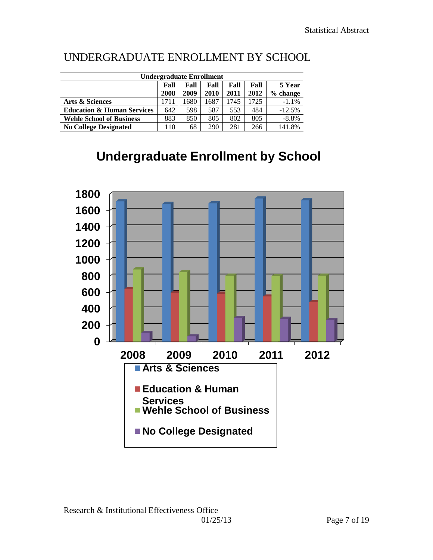| <b>Undergraduate Enrollment</b>       |      |      |      |        |      |            |  |  |  |
|---------------------------------------|------|------|------|--------|------|------------|--|--|--|
|                                       | Fall | Fall | Fall | 5 Year |      |            |  |  |  |
|                                       | 2008 | 2009 | 2010 | 2011   | 2012 | $%$ change |  |  |  |
| Arts & Sciences                       | 1711 | 1680 | 1687 | 1745   | 1725 | $-1.1%$    |  |  |  |
| <b>Education &amp; Human Services</b> | 642  | 598  | 587  | 553    | 484  | $-12.5%$   |  |  |  |
| <b>Wehle School of Business</b>       | 883  | 850  | 805  | 802    | 805  | $-8.8\%$   |  |  |  |
| <b>No College Designated</b>          | 110  | 68   | 290  | 281    | 266  | 141.8%     |  |  |  |

## UNDERGRADUATE ENROLLMENT BY SCHOOL

## **Undergraduate Enrollment by School**

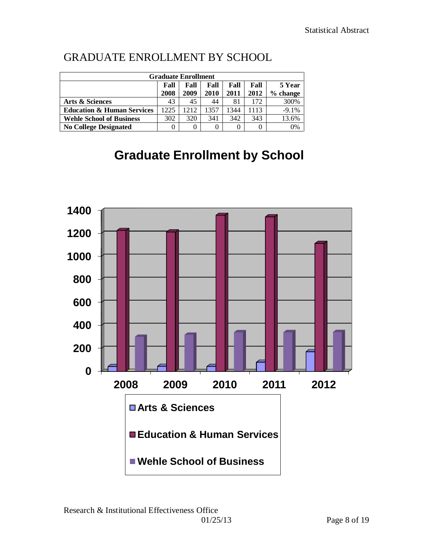| <b>Graduate Enrollment</b>                     |      |          |      |      |      |          |  |  |  |  |
|------------------------------------------------|------|----------|------|------|------|----------|--|--|--|--|
| 5 Year<br>Fall<br>Fall<br>Fall<br>Fall<br>Fall |      |          |      |      |      |          |  |  |  |  |
|                                                | 2008 | 2009     | 2010 | 2011 | 2012 | % change |  |  |  |  |
| Arts & Sciences                                | 43   | 45       | 44   | 81   | 172  | 300%     |  |  |  |  |
| <b>Education &amp; Human Services</b>          | 1225 | 1212     | 1357 | 344  | 1113 | $-9.1%$  |  |  |  |  |
| <b>Wehle School of Business</b>                | 302  | 320      | 341  | 342  | 343  | 13.6%    |  |  |  |  |
| <b>No College Designated</b>                   |      | $\theta$ | 0    |      |      | 0%       |  |  |  |  |

## GRADUATE ENROLLMENT BY SCHOOL

# **Graduate Enrollment by School**

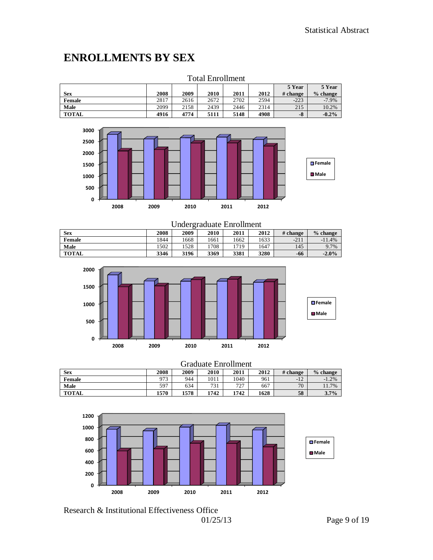## **ENROLLMENTS BY SEX**

| I otal Enrollment |      |      |      |      |      |          |            |  |  |  |
|-------------------|------|------|------|------|------|----------|------------|--|--|--|
|                   |      |      |      |      |      | 5 Year   | 5 Year     |  |  |  |
| Sex               | 2008 | 2009 | 2010 | 2011 | 2012 | # change | $%$ change |  |  |  |
| Female            | 2817 | 2616 | 2672 | 2702 | 2594 | $-223$   | $-7.9%$    |  |  |  |
| Male              | 2099 | 2158 | 2439 | 2446 | 2314 | 215      | 10.2%      |  |  |  |
| <b>TOTAL</b>      | 4916 | 4774 | 5111 | 5148 | 4908 | $-8$     | $-0.2%$    |  |  |  |





| <b>Undergraduate Enrollment</b> |      |      |      |      |      |          |            |  |  |
|---------------------------------|------|------|------|------|------|----------|------------|--|--|
| <b>Sex</b>                      | 2008 | 2009 | 2010 | 2011 | 2012 | # change | $%$ change |  |  |
| Female                          | 1844 | 1668 | 1661 | 1662 | 1633 | $-211$   | $-11.4%$   |  |  |
| Male                            | 1502 | 1528 | 1708 | 1719 | 1647 | 145      | 9.7%       |  |  |
| <b>TOTAL</b>                    | 3346 | 3196 | 3369 | 3381 | 3280 | -66      | $-2.0%$    |  |  |



| <b>Graduate Enrollment</b> |      |      |      |      |      |          |            |  |  |
|----------------------------|------|------|------|------|------|----------|------------|--|--|
| <b>Sex</b>                 | 2008 | 2009 | 2010 | 2011 | 2012 | # change | $%$ change |  |  |
| <b>Female</b>              | 973  | 944  | 1011 | 1040 | 961  | $-12$    | $-1.2%$    |  |  |
| Male                       | 597  | 634  | 731  | 727  | 667  | 70       | 11.7%      |  |  |
| <b>TOTAL</b>               | 1570 | 1578 | 1742 | 1742 | 1628 | 58       | 3.7%       |  |  |



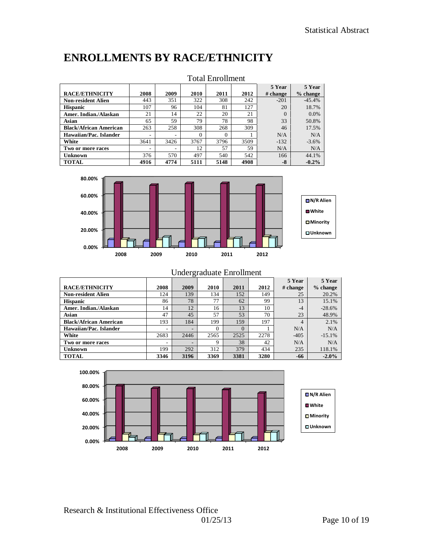## **ENROLLMENTS BY RACE/ETHNICITY**

|                               | TULAT LIITUHIN U |      |          |          |      |                    |                      |  |  |  |
|-------------------------------|------------------|------|----------|----------|------|--------------------|----------------------|--|--|--|
| <b>RACE/ETHNICITY</b>         | 2008             | 2009 | 2010     | 2011     | 2012 | 5 Year<br># change | 5 Year<br>$%$ change |  |  |  |
|                               |                  |      |          |          |      |                    |                      |  |  |  |
| <b>Non-resident Alien</b>     | 443              | 351  | 322      | 308      | 242  | $-201$             | $-45.4%$             |  |  |  |
| <b>Hispanic</b>               | 107              | 96   | 104      | 81       | 127  | 20                 | 18.7%                |  |  |  |
| Amer. Indian./Alaskan         | 21               | 14   | 22       | 20       | 21   |                    | $0.0\%$              |  |  |  |
| Asian                         | 65               | 59   | 79       | 78       | 98   | 33                 | 50.8%                |  |  |  |
| <b>Black/African American</b> | 263              | 258  | 308      | 268      | 309  | 46                 | 17.5%                |  |  |  |
| Hawaiian/Pac. Islander        | ۰                |      | $\Omega$ | $\Omega$ |      | N/A                | N/A                  |  |  |  |
| White                         | 3641             | 3426 | 3767     | 3796     | 3509 | $-132$             | $-3.6%$              |  |  |  |
| Two or more races             |                  |      | 12       | 57       | 59   | N/A                | N/A                  |  |  |  |
| Unknown                       | 376              | 570  | 497      | 540      | 542  | 166                | 44.1%                |  |  |  |
| <b>TOTAL</b>                  | 4916             | 4774 | 5111     | 5148     | 4908 | -8                 | $-0.2%$              |  |  |  |

### Total Enrollment



| Undergraduate Enrollment      |      |      |          |          |      |                |            |  |  |  |
|-------------------------------|------|------|----------|----------|------|----------------|------------|--|--|--|
| 5 Year<br>5 Year              |      |      |          |          |      |                |            |  |  |  |
| <b>RACE/ETHNICITY</b>         | 2008 | 2009 | 2010     | 2011     | 2012 | # change       | $%$ change |  |  |  |
| <b>Non-resident Alien</b>     | 124  | 139  | 134      | 152      | 149  | 25             | 20.2%      |  |  |  |
| <b>Hispanic</b>               | 86   | 78   | 77       | 62       | 99   | 13             | 15.1%      |  |  |  |
| Amer. Indian./Alaskan         | 14   | 12   | 16       | 13       | 10   | $-4$           | $-28.6%$   |  |  |  |
| Asian                         | 47   | 45   | 57       | 53       | 70   | 23             | 48.9%      |  |  |  |
| <b>Black/African American</b> | 193  | 184  | 199      | 159      | 197  | $\overline{4}$ | 2.1%       |  |  |  |
| Hawaiian/Pac. Islander        | ۰    |      | $\Omega$ | $\Omega$ |      | N/A            | N/A        |  |  |  |
| White                         | 2683 | 2446 | 2565     | 2525     | 2278 | $-405$         | $-15.1%$   |  |  |  |
| Two or more races             | ۰    |      | 9        | 38       | 42   | N/A            | N/A        |  |  |  |
| Unknown                       | 199  | 292  | 312      | 379      | 434  | 235            | 118.1%     |  |  |  |
| <b>TOTAL</b>                  | 3346 | 3196 | 3369     | 3381     | 3280 | -66            | $-2.0%$    |  |  |  |

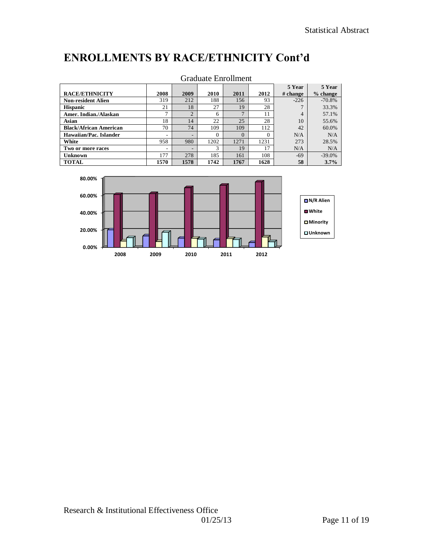## **ENROLLMENTS BY RACE/ETHNICITY Cont'd**

| Graduate Enrollment           |                          |                |          |          |          |                    |                      |  |  |  |
|-------------------------------|--------------------------|----------------|----------|----------|----------|--------------------|----------------------|--|--|--|
| <b>RACE/ETHNICITY</b>         | 2008                     | 2009           | 2010     | 2011     | 2012     | 5 Year<br># change | 5 Year<br>$%$ change |  |  |  |
| <b>Non-resident Alien</b>     | 319                      | 212            | 188      | 156      | 93       | $-226$             | $-70.8%$             |  |  |  |
| <b>Hispanic</b>               | 21                       | 18             | 27       | 19       | 28       | $\mathbf{r}$       | 33.3%                |  |  |  |
| Amer. Indian./Alaskan         | $\mathbf{r}$             | $\mathfrak{D}$ | 6        | 7        | 11       | 4                  | 57.1%                |  |  |  |
| Asian                         | 18                       | 14             | 22       | 25       | 28       | 10                 | 55.6%                |  |  |  |
| <b>Black/African American</b> | 70                       | 74             | 109      | 109      | 112      | 42                 | 60.0%                |  |  |  |
| Hawaiian/Pac. Islander        | $\overline{\phantom{a}}$ | -              | $\Omega$ | $\Omega$ | $\Omega$ | N/A                | N/A                  |  |  |  |
| White                         | 958                      | 980            | 1202     | 1271     | 1231     | 273                | 28.5%                |  |  |  |
| Two or more races             | $\overline{\phantom{a}}$ | -              | 3        | 19       | 17       | N/A                | N/A                  |  |  |  |
| Unknown                       | 177                      | 278            | 185      | 161      | 108      | $-69$              | $-39.0%$             |  |  |  |
| <b>TOTAL</b>                  | 1570                     | 1578           | 1742     | 1767     | 1628     | 58                 | 3.7%                 |  |  |  |

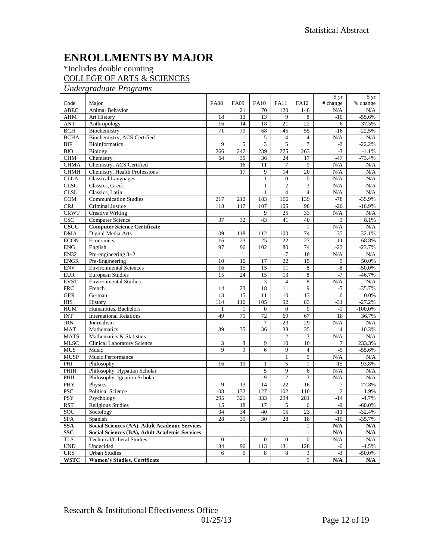## **ENROLLMENTSBY MAJOR**

### \*Includes double counting COLLEGE OF ARTS & SCIENCES

*Undergraduate Programs*

|                  |                                                      |                 |                |                 |                 |                 | 5 yr           | 5 yr                    |
|------------------|------------------------------------------------------|-----------------|----------------|-----------------|-----------------|-----------------|----------------|-------------------------|
| Code             | Major                                                | <b>FA08</b>     | <b>FA09</b>    | <b>FA10</b>     | <b>FA11</b>     | <b>FA12</b>     | # change       | % change                |
| <b>ABEC</b>      | <b>Animal Behavior</b>                               |                 | 21             | 70              | 120             | 148             | N/A            | N/A                     |
| <b>AHM</b>       | Art History                                          | 18              | 13             | 13              | 9               | 8               | $-10$          | $-55.6%$                |
| <b>ANT</b>       | Anthropology                                         | 16              | 14             | 18              | $\overline{21}$ | $\overline{22}$ | 6              | 37.5%                   |
| <b>BCH</b>       | Biochemistry                                         | 71              | 79             | 68              | 45              | 55              | $-16$          | $-22.5%$                |
| <b>BCHA</b>      | Biochemistry, ACS Certified                          |                 | $\mathbf{1}$   | 5               | $\overline{4}$  | $\overline{4}$  | N/A            | N/A                     |
| <b>BIF</b>       | <b>Bioinformatics</b>                                | 9               | $\overline{5}$ | 3               | $\overline{5}$  | $\overline{7}$  | $-2$           | $-22.2%$                |
| <b>BIO</b>       | Biology                                              | 266             | 247            | 239             | 275             | 263             | $-3$           | $-1.1%$                 |
| <b>CHM</b>       | Chemistry                                            | 64              | 35             | 36              | 24              | 17              | $-47$          | $-73.4%$                |
| <b>CHMA</b>      | Chemistry, ACS Certified                             |                 | 16             | 11              | $\tau$          | 9               | N/A            | N/A                     |
| <b>CHMH</b>      | Chemistry, Health Professions                        |                 | 17             | 9               | 14              | 20              | N/A            | N/A                     |
| <b>CLLA</b>      | <b>Classical Languages</b>                           |                 |                | $\mathbf{1}$    | $\overline{0}$  | $\overline{0}$  | N/A            | N/A                     |
| CLSG             | Classics, Greek                                      |                 |                | $\mathbf{1}$    | $\overline{c}$  | 3               | N/A            | N/A                     |
| <b>CLSL</b>      | Classics, Latin                                      |                 |                | $\mathbf{1}$    | $\overline{4}$  | $\overline{4}$  | N/A            | N/A                     |
| COM              | <b>Communication Studies</b>                         | 217             | 212            | 183             | 166             | 139             | $-78$          | $-35.9%$                |
| <b>CRJ</b>       | Criminal Justice                                     | 118             | 117            | 107             | 105             | 98              | $-20$          | $-16.9%$                |
| <b>CRWT</b>      | <b>Creative Writing</b>                              |                 |                | 9               | 25              | 33              | N/A            | N/A                     |
| <b>CSC</b>       | <b>Computer Science</b>                              | 37              | 32             | 43              | 41              | 40              | 3              | 8.1%                    |
| CSCC             | <b>Computer Science Certificate</b>                  |                 |                |                 |                 | $\mathbf{1}$    | N/A            | N/A                     |
| <b>DMA</b>       | Digital Media Arts                                   | 109             | 118            | 112             | 100             | 74              | $-35$          | $-32.1%$                |
| <b>ECON</b>      | Economics                                            | 16              | 23             | 25              | 22              | $\overline{27}$ | 11             | 68.8%                   |
| <b>ENG</b>       | English                                              | 97              | 96             | 102             | 80              | 74              | $-23$          | $-23.7%$                |
| <b>EN32</b>      | Pre-engineering $3+2$                                |                 |                |                 | 7               | 10              | N/A            | N/A                     |
| <b>ENGR</b>      | Pre-Engineering                                      | 10              | 16             | 17              | 22              | 15              | 5              | 50.0%                   |
| <b>ENV</b>       | <b>Environmental Sciences</b>                        | 16              | 15             | 15              | 11              | $\,$ 8 $\,$     | -8             | $-50.0\%$               |
| <b>EUR</b>       | <b>European Studies</b>                              | 15              | 24             | 15              | 13              | 8               | $-7$           | $-46.7%$                |
| <b>EVST</b>      | <b>Environmental Studies</b>                         |                 |                | 3               | $\overline{4}$  | 8               | N/A            | N/A                     |
| FRC              | French                                               | 14              | 23             | 18              | 11              | $\overline{9}$  | -5             | $-35.7%$                |
| <b>GER</b>       | German                                               | 13              | 15             | 11              | 10              | 13              | $\mathbf{0}$   | 0.0%                    |
| $\overline{HIS}$ | History                                              | 114             | 116            | 105             | 92              | 83              | $-31$          | $-27.2%$                |
| <b>HUM</b>       | Humanities, Bachelors                                | 1               | $\mathbf{1}$   | $\overline{0}$  | $\mathbf{0}$    | $\mathbf{0}$    | $-1$           | $-100.0\%$              |
| <b>INT</b>       | <b>International Relations</b>                       | 49              | 71             | $\overline{72}$ | 69              | 67              | 18             | 36.7%                   |
| <b>JRN</b>       | Journalism                                           |                 |                | 7               | 23              | 29              | N/A            | N/A                     |
| <b>MAT</b>       | Mathematics                                          | 39              | 35             | 36              | 38              | 35              | $-4$           | $-10.3%$                |
| <b>MATS</b>      | Mathematics & Statistics                             |                 |                |                 | $\overline{2}$  | 3               | N/A            | N/A                     |
| <b>MLSC</b>      | <b>Clinical Laboratory Science</b>                   | 3               | $\,8\,$        | 9               | 10              | 10              | 7              | 233.3%                  |
| <b>MUS</b>       | Music                                                | $\overline{Q}$  | $\mathbf Q$    | 6               | 9               | $\overline{4}$  | $-5$           | $-55.6%$                |
| <b>MUSP</b>      | Music Performance                                    |                 |                |                 | $\mathbf 1$     | $\overline{5}$  | N/A            | N/A                     |
| PHI              | Philosophy                                           | 16              | 19             | $\mathbf{1}$    | 5               | $\mathbf{1}$    | $-15$          | $-93.8%$                |
| PHIH             | Philosophy, Hypatian Scholar                         |                 |                | 5               | 9               | 6               | N/A            | N/A                     |
| PHII             | Philosophy, Ignation Scholar                         |                 |                | $\overline{9}$  | $\overline{2}$  | $\overline{3}$  | N/A            | N/A                     |
| PHY              | Physics                                              | 9               | 13             | 14              | 22              | 16              | 7              | 77.8%                   |
| <b>PSC</b>       | Political Science                                    | 108             | 132            | 127             | 102             | 110             | $\overline{c}$ | 1.9%                    |
| <b>PSY</b>       | Psychology                                           | 295             | 321            | 333             | 294             | 281             | $-14$          | $-4.7%$                 |
| <b>RST</b>       | <b>Religious Studies</b>                             | 15              | 18             | 17              | 5               | 6               | $-9$           | $-60.0\%$               |
| SOC              | Sociology                                            | $\overline{34}$ | 34             | 40              | $\overline{15}$ | $\overline{23}$ | $-11$          | $-32.4%$                |
| <b>SPA</b>       | Spanish                                              | 28              | 39             | 30              | 28              | 18              | $-10$          | $-35.7%$                |
| <b>SSA</b>       | Social Sciences (AA), Adult Academic Services        |                 |                |                 |                 | $\mathbf{1}$    | N/A            | N/A                     |
| <b>SSC</b>       | <b>Social Sciences (BA), Adult Academic Services</b> |                 |                |                 |                 | $\mathbf{1}$    | N/A            | N/A                     |
| TLS              | Technical/Liberal Studies                            | $\overline{0}$  | $\mathbf{1}$   | $\overline{0}$  | $\mathbf{0}$    | $\overline{0}$  | N/A            | N/A                     |
| <b>UND</b>       | Undecided                                            | 134             | 96             | 113             | 131             | 128             | -6             | $-4.5%$                 |
| <b>URS</b>       | <b>Urban Studies</b>                                 | 6               | $\overline{5}$ | 8               | 8               | 3               | $-3$           | $-50.0\%$               |
| <b>WSTC</b>      | <b>Women's Studies, Certificate</b>                  |                 |                |                 |                 | 5               | N/A            | $\mathbf{N}/\mathbf{A}$ |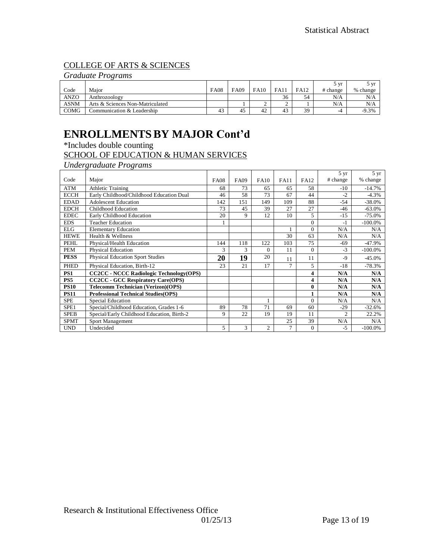### COLLEGE OF ARTS & SCIENCES

### *Graduate Programs*

|             |                                  |             |      |             |             |             | 5 vr     | 5 vr     |
|-------------|----------------------------------|-------------|------|-------------|-------------|-------------|----------|----------|
| Code        | Maior                            | <b>FA08</b> | FA09 | <b>FA10</b> | <b>FA11</b> | <b>FA12</b> | # change | % change |
| <b>ANZO</b> | Anthrozoology                    |             |      |             | 36          | 54          | N/A      | N/A      |
| <b>ASNM</b> | Arts & Sciences Non-Matriculated |             |      |             | ∸           |             | N/A      | N/A      |
| <b>COMG</b> | Communication & Leadership       | 43          | 45   | 42          | 43          | 39          | -4       | $-9.3%$  |

### **ENROLLMENTSBY MAJOR Cont'd**

\*Includes double counting

### SCHOOL OF EDUCATION & HUMAN SERVICES

*Undergraduate Programs*

|             |                                                |             |             |                |             |                | $5 \text{ yr}$ | 5 yr       |
|-------------|------------------------------------------------|-------------|-------------|----------------|-------------|----------------|----------------|------------|
| Code        | Major                                          | <b>FA08</b> | <b>FA09</b> | <b>FA10</b>    | <b>FA11</b> | <b>FA12</b>    | # change       | % change   |
| ATM         | <b>Athletic Training</b>                       | 68          | 73          | 65             | 65          | 58             | $-10$          | $-14.7%$   |
| <b>ECCH</b> | Early Childhood/Childhood Education Dual       | 46          | 58          | 73             | 67          | 44             | $-2$           | $-4.3\%$   |
| <b>EDAD</b> | <b>Adolescent Education</b>                    | 142         | 151         | 149            | 109         | 88             | $-54$          | $-38.0%$   |
| <b>EDCH</b> | Childhood Education                            | 73          | 45          | 39             | 27          | 27             | $-46$          | $-63.0%$   |
| <b>EDEC</b> | Early Childhood Education                      | 20          | 9           | 12             | 10          | 5              | $-15$          | $-75.0%$   |
| <b>EDS</b>  | <b>Teacher Education</b>                       |             |             |                |             | $\overline{0}$ | -1             | $-100.0\%$ |
| <b>ELG</b>  | <b>Elementary Education</b>                    |             |             |                |             | $\Omega$       | N/A            | N/A        |
| <b>HEWE</b> | Health & Wellness                              |             |             |                | 30          | 63             | N/A            | N/A        |
| PEHL        | Physical/Health Education                      | 144         | 118         | 122            | 103         | 75             | $-69$          | -47.9%     |
| PEM         | <b>Physical Education</b>                      | 3           | 3           | $\Omega$       | 11          | $\overline{0}$ | $-3$           | $-100.0\%$ |
| <b>PESS</b> | <b>Physical Education Sport Studies</b>        | 20          | 19          | 20             | 11          | 11             | $-9$           | $-45.0%$   |
| <b>PHED</b> | Physical Education, Birth-12                   | 23          | 21          | 17             | 7           | 5              | $-18$          | $-78.3%$   |
| PS1         | <b>CC2CC - NCCC Radiologic Technology(OPS)</b> |             |             |                |             | 4              | N/A            | N/A        |
| PS5         | <b>CC2CC - GCC Respiratory Care(OPS)</b>       |             |             |                |             | 4              | N/A            | N/A        |
| <b>PS10</b> | <b>Telecomm Technician (Verizon)(OPS)</b>      |             |             |                |             | $\bf{0}$       | N/A            | N/A        |
| <b>PS11</b> | <b>Professional Technical Studies (OPS)</b>    |             |             |                |             | 1              | N/A            | N/A        |
| <b>SPE</b>  | Special Education                              |             |             |                |             | $\Omega$       | N/A            | N/A        |
| SPE1        | Special/Childhood Education, Grades 1-6        | 89          | 78          | 71             | 69          | 60             | $-29$          | $-32.6%$   |
| <b>SPEB</b> | Special/Early Childhood Education, Birth-2     | 9           | 22          | 19             | 19          | 11             | $\overline{c}$ | 22.2%      |
| <b>SPMT</b> | Sport Management                               |             |             |                | 25          | 39             | N/A            | N/A        |
| <b>UND</b>  | Undecided                                      | 5           | 3           | $\overline{c}$ | 7           | $\overline{0}$ | $-5$           | $-100.0%$  |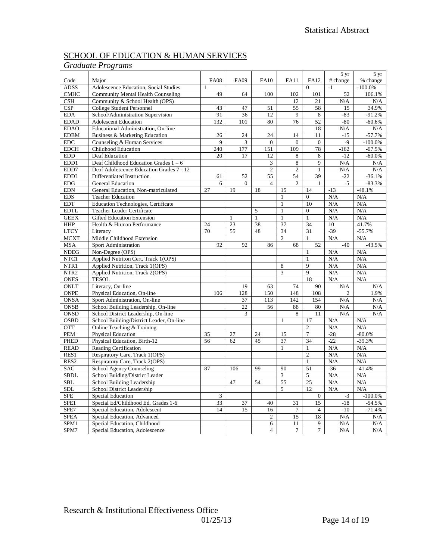### SCHOOL OF EDUCATION & HUMAN SERVICES

### *Graduate Programs*

|                  |                                          |              |                 |                |                 |                          | $5 \text{ yr}$ | 5 yr       |
|------------------|------------------------------------------|--------------|-----------------|----------------|-----------------|--------------------------|----------------|------------|
| Code             | Major                                    | <b>FA08</b>  | <b>FA09</b>     | <b>FA10</b>    | <b>FA11</b>     | FA12                     | # change       | % change   |
| <b>ADSS</b>      | Adolescence Education, Social Studies    | $\mathbf{1}$ |                 |                |                 | $\theta$                 | $-1$           | $-100.0\%$ |
| CMHC             | Community Mental Health Counseling       | 49           | 64              | 100            | 102             | 101                      | 52             | 106.1%     |
| CSH              | Community & School Health (OPS)          |              |                 |                | 12              | 21                       | N/A            | N/A        |
| <b>CSP</b>       | College Student Personnel                | 43           | 47              | 51             | 55              | 58                       | 15             | 34.9%      |
| <b>EDA</b>       | School/Administration Supervision        | 91           | 36              | 12             | 9               | 8                        | $-83$          | $-91.2%$   |
| <b>EDAD</b>      | <b>Adolescent Education</b>              | 132          | 101             | 80             | 76              | 52                       | $-80$          | $-60.6%$   |
| <b>EDAO</b>      | Educational Administration, On-line      |              |                 |                |                 | 18                       | N/A            | N/A        |
| <b>EDBM</b>      | Business & Marketing Education           | 26           | 24              | 24             | 14              | 11                       | $-15$          | $-57.7%$   |
| <b>EDC</b>       | Counseling & Human Services              | 9            | 3               | $\overline{0}$ | $\overline{0}$  | $\theta$                 | $-9$           | $-100.0%$  |
| <b>EDCH</b>      | Childhood Education                      | 240          | 177             | 151            | 109             | 78                       | $-162$         | $-67.5%$   |
| <b>EDD</b>       | Deaf Education                           | 20           | $\overline{17}$ | 12             | 8               | 8                        | $-12$          | $-60.0\%$  |
| EDD1             | Deaf Childhood Education Grades $1 - 6$  |              |                 | 3              | 8               | 9                        | N/A            | N/A        |
| EDD7             | Deaf Adolescence Education Grades 7 - 12 |              |                 | $\overline{2}$ | $\overline{c}$  | $\mathbf{1}$             | N/A            | N/A        |
| <b>EDDI</b>      | Differentiated Instruction               | 61           | 52              | 55             | 54              | 39                       | $-22$          | $-36.1%$   |
| <b>EDG</b>       | <b>General Education</b>                 | 6            | $\mathbf{0}$    | $\overline{4}$ | $\mathbf{2}$    | $\mathbf{1}$             | $-5$           | $-83.3%$   |
| <b>EDN</b>       | General Education, Non-matriculated      | 27           | 19              | 18             | 15              | 14                       | $-13$          | $-48.1%$   |
| <b>EDS</b>       | <b>Teacher Education</b>                 |              |                 |                | $\mathbf{1}$    | $\boldsymbol{0}$         | N/A            | N/A        |
| <b>EDT</b>       |                                          |              |                 |                | $\mathbf{1}$    | 10                       |                |            |
| <b>EDTL</b>      | Education Technologies, Certificate      |              |                 |                | $\mathbf{1}$    | $\overline{0}$           | N/A            | N/A<br>N/A |
|                  | Teacher Leader Certificate               |              |                 | 5              |                 |                          | N/A            |            |
| <b>GEEX</b>      | <b>Gifted Education Extension</b>        |              | $\mathbf{1}$    | $\overline{1}$ | $\overline{1}$  | $\overline{1}$           | N/A            | N/A        |
| <b>HHP</b>       | Health & Human Performance               | 24           | 23              | 38             | 37              | 34                       | 10             | 41.7%      |
| <b>LTCY</b>      | Literacy                                 | 70           | 55              | 48             | 34              | 31                       | $-39$          | $-55.7%$   |
| <b>MCXT</b>      | Middle Childhood Extension               |              |                 |                | $\overline{2}$  | $\mathbf{1}$             | N/A            | N/A        |
| <b>MSA</b>       | Sport Administration                     | 92           | 92              | 86             | 68              | 52                       | $-40$          | $-43.5%$   |
| <b>NDEG</b>      | Non-Degree (OPS)                         |              |                 |                |                 | $\mathbf{1}$             | N/A            | N/A        |
| NTC1             | Applied Nutriton Cert, Track 1(OPS)      |              |                 |                |                 | $\mathbf{1}$             | N/A            | N/A        |
| NTR1             | Applied Nutrition, Track 1(OPS)          |              |                 |                | 8               | 9                        | N/A            | N/A        |
| NTR <sub>2</sub> | Applied Nutrition, Track 2(OPS)          |              |                 |                | 3               | 9                        | N/A            | N/A        |
| <b>ONES</b>      | <b>TESOL</b>                             |              |                 |                |                 | 18                       | N/A            | N/A        |
| ONLT             | Literacy, On-line                        |              | 19              | 63             | 74              | 90                       | N/A            | N/A        |
| <b>ONPE</b>      | Physical Education, On-line              | 106          | 128             | 150            | 148             | 108                      | $\overline{2}$ | 1.9%       |
| <b>ONSA</b>      | Sport Administration, On-line            |              | 37              | 113            | 142             | 154                      | N/A            | N/A        |
| <b>ONSB</b>      | School Building Leadership, On-line      |              | 22              | 56             | 88              | 80                       | N/A            | N/A        |
| <b>ONSD</b>      | School District Leadership, On-line      |              | 3               |                | 8               | 11                       | N/A            | N/A        |
| <b>OSBD</b>      | School Building/District Leader, On-line |              |                 |                | $\mathbf{1}$    | 17                       | N/A            | N/A        |
| <b>OTT</b>       | Online Teaching & Training               |              |                 |                |                 | $\overline{c}$           | N/A            | N/A        |
| PEM              | Physical Education                       | 35           | 27              | 24             | 15              | $\overline{\mathcal{I}}$ | $-28$          | $-80.0%$   |
| <b>PHED</b>      | Physical Education, Birth-12             | 56           | 62              | 45             | $\overline{37}$ | 34                       | $-22$          | $-39.3%$   |
| <b>READ</b>      | Reading Certification                    |              |                 |                | $\mathbf{1}$    | $\mathbf{1}$             | N/A            | N/A        |
| RES1             | Respiratory Care, Track 1(OPS)           |              |                 |                |                 | $\overline{2}$           | N/A            | N/A        |
| RES <sub>2</sub> | Respiratory Care, Track 2(OPS)           |              |                 |                |                 | $\mathbf{1}$             | N/A            | N/A        |
| <b>SAC</b>       | School Agency Counseling                 | 87           | 106             | 99             | 90              | 51                       | $-36$          | $-41.4%$   |
| <b>SBDL</b>      | School Buiding/District Leader           |              |                 |                | 3               | 5                        | N/A            | N/A        |
| <b>SBL</b>       | School Building Leadership               |              | 47              | 54             | 55              | 25                       | N/A            | N/A        |
| <b>SDL</b>       | School District Leadership               |              |                 |                | 5               | 12                       | N/A            | N/A        |
| SPE              | Special Education                        | $\sqrt{3}$   |                 |                |                 | $\mathbf{0}$             | $-3$           | $-100.0\%$ |
| SPE1             | Special Ed/Childhood Ed, Grades 1-6      | 33           | 37              | 40             | 31              | 15                       | $-18$          | $-54.5%$   |
| SPE7             | Special Education, Adolescent            | 14           | 15              | 16             | $\overline{7}$  | $\overline{4}$           | $-10$          | $-71.4%$   |
| <b>SPEA</b>      | Special Education, Advanced              |              |                 | $\mathfrak{2}$ | 15              | 18                       | $\rm N/A$      | N/A        |
| SPM1             | Special Education, Childhood             |              |                 | 6              | 11              | 9                        | N/A            | N/A        |
| SPM7             | Special Education, Adolescence           |              |                 | $\overline{4}$ | 7               | 7                        | N/A            | N/A        |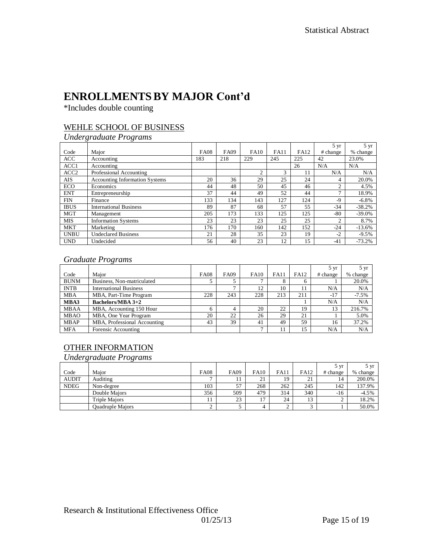## **ENROLLMENTSBY MAJOR Cont'd**

\*Includes double counting

### WEHLE SCHOOL OF BUSINESS

### *Undergraduate Programs*

|                  |                                       |             |             |             |             |             | 5 yr         | 5 yr     |
|------------------|---------------------------------------|-------------|-------------|-------------|-------------|-------------|--------------|----------|
| Code             | Major                                 | <b>FA08</b> | <b>FA09</b> | <b>FA10</b> | <b>FA11</b> | <b>FA12</b> | # change     | % change |
| <b>ACC</b>       | Accounting                            | 183         | 218         | 229         | 245         | 225         | 42           | 23.0%    |
| ACC1             | Accounting                            |             |             |             |             | 26          | N/A          | N/A      |
| ACC <sub>2</sub> | Professional Accounting               |             |             | C           | 3           | 11          | N/A          | N/A      |
| AIS              | <b>Accounting Information Systems</b> | 20          | 36          | 29          | 25          | 24          | 4            | 20.0%    |
| ECO              | Economics                             | 44          | 48          | 50          | 45          | 46          | 2            | 4.5%     |
| <b>ENT</b>       | Entrepreneurship                      | 37          | 44          | 49          | 52          | 44          | $\mathbf{r}$ | 18.9%    |
| <b>FIN</b>       | Finance                               | 133         | 134         | 143         | 127         | 124         | $-9$         | $-6.8\%$ |
| <b>IBUS</b>      | <b>International Business</b>         | 89          | 87          | 68          | 57          | 55          | $-34$        | $-38.2%$ |
| <b>MGT</b>       | Management                            | 205         | 173         | 133         | 125         | 125         | -80          | $-39.0%$ |
| MIS              | <b>Information Systems</b>            | 23          | 23          | 23          | 25          | 25          | 2            | 8.7%     |
| <b>MKT</b>       | Marketing                             | 176         | 170         | 160         | 142         | 152         | $-24$        | $-13.6%$ |
| <b>UNBU</b>      | <b>Undeclared Business</b>            | 21          | 28          | 35          | 23          | 19          | $-2$         | $-9.5%$  |
| <b>UND</b>       | Undecided                             | 56          | 40          | 23          | 12          | 15          | $-41$        | $-73.2%$ |

#### *Graduate Programs*

|             |                               |             |             |              |             |             | $5 \text{ yr}$ | $5 \text{ yr}$ |
|-------------|-------------------------------|-------------|-------------|--------------|-------------|-------------|----------------|----------------|
| Code        | Major                         | <b>FA08</b> | <b>FA09</b> | <b>FA10</b>  | <b>FA11</b> | <b>FA12</b> | # change       | % change       |
| <b>BUNM</b> | Business, Non-matriculated    |             |             | $\mathbf{r}$ |             | h           |                | 20.0%          |
| <b>INTB</b> | <b>International Business</b> |             |             | 12           | 10          | 11          | N/A            | N/A            |
| <b>MBA</b>  | MBA, Part-Time Program        | 228         | 243         | 228          | 213         | 211         | $-17$          | $-7.5%$        |
| MBA3        | <b>Bachelors/MBA 3+2</b>      |             |             |              |             |             | N/A            | N/A            |
| <b>MBAA</b> | MBA, Accounting 150 Hour      | 6           |             | 20           | 22          | 19          | 13             | 216.7%         |
| <b>MBAO</b> | MBA, One Year Program         | 20          | 22          | 26           | 29          | 21          |                | 5.0%           |
| <b>MBAP</b> | MBA, Professional Accounting  | 43          | 39          | 41           | 49          | 59          | 16             | 37.2%          |
| <b>MFA</b>  | Forensic Accounting           |             |             | $\mathbf{r}$ | 11          | 15          | N/A            | N/A            |

### OTHER INFORMATION

*Undergraduate Programs*

|              |                         |             |             |             |             |          | 5 yr     | 5 vr     |
|--------------|-------------------------|-------------|-------------|-------------|-------------|----------|----------|----------|
| Code         | Maior                   | <b>FA08</b> | <b>FA09</b> | <b>FA10</b> | <b>FA11</b> | FA12     | # change | % change |
| <b>AUDIT</b> | Auditing                |             |             | 21          | 19          | 21<br>∠⊥ | 14       | 200.0%   |
| <b>NDEG</b>  | Non-degree              | 103         | 57          | 268         | 262         | 245      | 142      | 137.9%   |
|              | Double Maiors           | 356         | 509         | 479         | 314         | 340      | $-16$    | $-4.5%$  |
|              | <b>Triple Maiors</b>    |             | 23          | 17          | 24          | 13       | $\sim$   | 18.2%    |
|              | <b>Ouadruple Majors</b> |             |             | 4           |             |          |          | 50.0%    |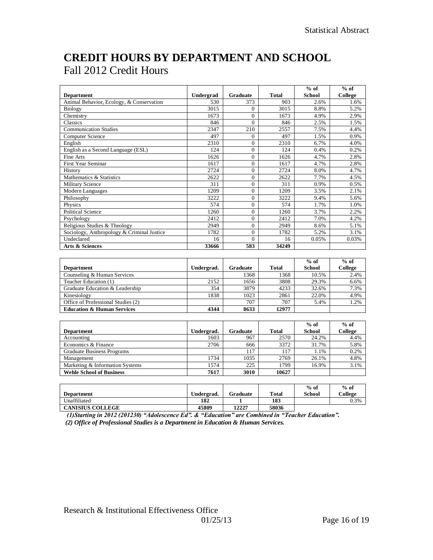## **CREDIT HOURS BY DEPARTMENT AND SCHOOL** Fall 2012 Credit Hours

|                                            |            |                |                   | $%$ of        | $%$ of  |
|--------------------------------------------|------------|----------------|-------------------|---------------|---------|
| <b>Department</b>                          | Undergrad  | Graduate       | <b>Total</b>      | <b>School</b> | College |
| Animal Behavior, Ecology, & Conservation   | 530        | 373            | 903               | 2.6%          | 1.6%    |
| Biology                                    | 3015       | $\theta$       | 3015              | 8.8%          | 5.2%    |
| Chemistry                                  | 1673       | $\Omega$       | 1673              | 4.9%          | 2.9%    |
| Classics                                   | 846        | $\theta$       | 846               | 2.5%          | 1.5%    |
| <b>Communication Studies</b>               | 2347       | 210            | 2557              | 7.5%          | 4.4%    |
| Computer Science                           | 497        | $\Omega$       | 497               | 1.5%          | 0.9%    |
| English                                    | 2310       | $\Omega$       | 2310              | 6.7%          | 4.0%    |
| English as a Second Language (ESL)         | 124        | $\theta$       | 124               | 0.4%          | 0.2%    |
| Fine Arts                                  | 1626       | $\theta$       | 1626              | 4.7%          | 2.8%    |
| <b>First Year Seminar</b>                  | 1617       | $\overline{0}$ | 1617              | 4.7%          | 2.8%    |
| History                                    | 2724       | $\Omega$       | 2724              | 8.0%          | 4.7%    |
| Mathematics & Statistics                   | 2622       | $\overline{0}$ | 2622              | 7.7%          | 4.5%    |
| Military Science                           | 311        | $\theta$       | 311               | 0.9%          | 0.5%    |
| Modern Languages                           | 1209       | $\Omega$       | 1209              | 3.5%          | 2.1%    |
| Philosophy                                 | 3222       | $\overline{0}$ | 3222              | 9.4%          | 5.6%    |
| Physics                                    | 574        | $\Omega$       | 574               | 1.7%          | 1.0%    |
| <b>Political Science</b>                   | 1260       | $\theta$       | 1260              | 3.7%          | 2.2%    |
| Psychology                                 | 2412       | $\Omega$       | 2412              | 7.0%          | 4.2%    |
| Religious Studies & Theology               | 2949       | $\theta$       | 2949              | 8.6%          | 5.1%    |
| Sociology, Anthropology & Criminal Justice | 1782       | $\theta$       | $\overline{1782}$ | 5.2%          | 3.1%    |
| Undeclared                                 | 16         | $\Omega$       | 16                | 0.05%         | 0.03%   |
| Arts & Sciences                            | 33666      | 583            | 34249             |               |         |
|                                            |            |                |                   |               |         |
|                                            |            |                |                   | $%$ of        | $%$ of  |
| <b>Department</b>                          | Undergrad. | Graduate       | <b>Total</b>      | <b>School</b> | College |
| Counseling & Human Services                |            | 1368           | 1368              | 10.5%         | 2.4%    |
| Teacher Education (1)                      | 2152       | 1656           | 3808              | 29.3%         | 6.6%    |
| Graduate Education & Leadership            | 354        | 3879           | 4233              | 32.6%         | 7.3%    |
| Kinesiology                                | 1838       | 1023           | 2861              | 22.0%         | 4.9%    |
| Office of Professional Studies (2)         |            | 707            | 707               | 5.4%          | 1.2%    |
| <b>Education &amp; Human Services</b>      | 4344       | 8633           | 12977             |               |         |
|                                            |            |                |                   |               |         |
|                                            |            |                |                   | $%$ of        | $%$ of  |
| <b>Department</b>                          | Undergrad. | Graduate       | <b>Total</b>      | <b>School</b> | College |
| Accounting                                 | 1603       | 967            | 2570              | 24.2%         | 4.4%    |
| Economics & Finance                        | 2706       | 666            | 3372              | 31.7%         | 5.8%    |
| <b>Graduate Business Programs</b>          |            | 117            | 117               | 1.1%          | 0.2%    |
| Management                                 | 1734       | 1035           | 2769              | 26.1%         | 4.8%    |
| Marketing & Information Systems            | 1574       | 225            | 1799              | 16.9%         | 3.1%    |
| <b>Wehle School of Business</b>            | 7617       | 3010           | 10627             |               |         |

|                         |            |          |              | $%$ of | $%$ of  |
|-------------------------|------------|----------|--------------|--------|---------|
| <b>Department</b>       | Undergrad. | Graduate | <b>Total</b> | School | College |
| Unaffiliated            | 182        |          | 183          |        | 0.3%    |
| <b>CANISIUS COLLEGE</b> | 45809      | 12227    | 58036        |        |         |

 *(1)Starting in 2012 (201230) "Adolescence Ed". & "Education" are Combined in "Teacher Education". (2) Office of Professional Studies is a Department in Education & Human Services.*

**Wehle School of Business** 

 $\overline{\Gamma}$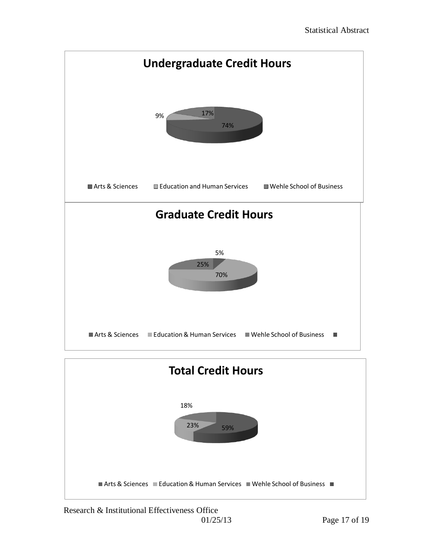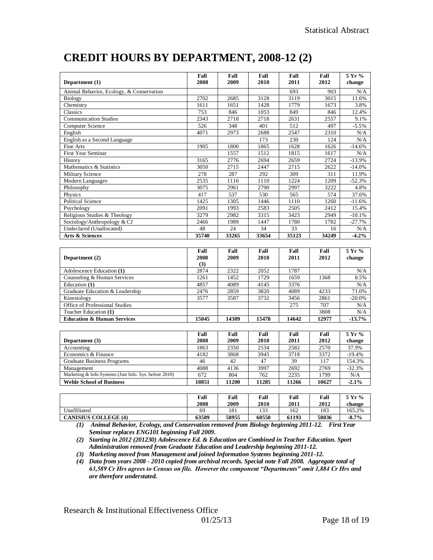| Department (1)                                         | Fall<br>2008        | Fall<br>2009 | Fall<br>2010 | Fall<br>2011 | Fall<br>2012 | 5 Yr %<br>change |
|--------------------------------------------------------|---------------------|--------------|--------------|--------------|--------------|------------------|
| Animal Behavior, Ecology, & Conservation               |                     |              |              | 693          | 903          | N/A              |
| Biology                                                | 2702                | 2685         | 3128         | 3119         | 3015         | 11.6%            |
| Chemistry                                              | 1611                | 1651         | 1428         | 1779         | 1673         | 3.8%             |
| Classics                                               | 753                 | 846          | 1053         | 849          | 846          | 12.4%            |
| <b>Communication Studies</b>                           | 2343                | 2718         | 2718         | 2631         | 2557         | 9.1%             |
| Computer Science                                       | 526                 | 348          | 401          | 512          | 497          | $-5.5%$          |
| English                                                | 4071                | 2973         | 2688         | 2547         | 2310         | N/A              |
| English as a Second Language                           |                     |              | 173          | 230          | 124          | N/A              |
| Fine Arts                                              | 1905                | 1800         | 1865         | 1628         | 1626         | $-14.6%$         |
| <b>First Year Seminar</b>                              |                     | 1557         | 1512         | 1815         | 1617         | N/A              |
| History                                                | 3165                | 2776         | 2694         | 2659         | 2724         | $-13.9%$         |
| Mathematics & Statistics                               | 3050                | 2715         | 2447         | 2715         | 2622         | $-14.0%$         |
| <b>Military Science</b>                                | 278                 | 287          | 292          | 309          | 311          | 11.9%            |
| Modern Languages                                       | 2535                | 1116         | 1110         | 1224         | 1209         | $-52.3%$         |
| Philosophy                                             | 3075                | 2961         | 2790         | 2997         | 3222         | 4.8%             |
| Physics                                                | 417                 | 537          | 530          | 565          | 574          | 37.6%            |
| <b>Political Science</b>                               | 1425                | 1305         | 1446         | 1110         | 1260         | $-11.6%$         |
| Psychology                                             | 2091                | 1993         | 2583         | 2505         | 2412         | 15.4%            |
| Religious Studies & Theology                           | 3279                | 2982         | 3315         | 3423         | 2949         | $-10.1%$         |
| Sociology/Anthropology & CJ                            | 2466                | 1989         | 1447         | 1780         | 1782         | $-27.7%$         |
| Undeclared (Unallocated)                               | 48                  | 24           | 34           | 33           | 16           | N/A              |
| Arts & Sciences                                        | 35740               | 33265        | 33654        | 35123        | 34249        | $-4.2%$          |
|                                                        |                     |              |              |              |              |                  |
| Department (2)                                         | Fall<br>2008<br>(3) | Fall<br>2009 | Fall<br>2010 | Fall<br>2011 | Fall<br>2012 | 5 Yr %<br>change |
| Adolescence Education (1)                              | 2874                | 2322         | 2052         | 1787         |              | N/A              |
| Counseling & Human Services                            | 1261                | 1452         | 1729         | 1659         | 1368         | 8.5%             |
| Education (1)                                          | 4857                | 4089         | 4145         | 3376         |              | N/A              |
| Graduate Education & Leadership                        | 2476                | 2859         | 3820         | 4089         | 4233         | 71.0%            |
| Kinesiology                                            | 3577                | 3587         | 3732         | 3456         | 2861         | $-20.0\%$        |
| Office of Professional Studies                         |                     |              |              | 275          | 707          | N/A              |
| Teacher Education (1)                                  |                     |              |              |              | 3808         | N/A              |
| <b>Education &amp; Human Services</b>                  | 15045               | 14309        | 15478        | 14642        | 12977        | $-13.7%$         |
|                                                        |                     |              |              |              |              |                  |
|                                                        | Fall                | Fall         | Fall         | Fall         | Fall         | 5 Yr %           |
| Department (3)                                         | 2008                | 2009         | 2010         | 2011         | 2012         | change           |
| Accounting                                             | 1863                | 2350         | 2534         | 2582         | 2570         | 37.9%            |
| Economics & Finance                                    | 4182                | 3868         | 3945         | 3718         | 3372         | $-19.4%$         |
| <b>Graduate Business Programs</b>                      | 46                  | 42           | 47           | 39           | 117          | 154.3%           |
| Management                                             | 4088                | 4136         | 3997         | 2692         | 2769         | $-32.3%$         |
| Marketing & Info.Systems (Just Info. Sys. before 2010) | 672                 | 804          | 762          | 2235         | 1799         | N/A              |

## **CREDIT HOURS BY DEPARTMENT, 2008-12 (2)**

|                             | Fall<br>2008 | Fall<br>2009 | Fall<br>2010 | Fall<br>2011 | Fall<br>2012 | 5 Yr %<br>change |
|-----------------------------|--------------|--------------|--------------|--------------|--------------|------------------|
| Unaffiliated                | 69           | 181          | 133          | 162          | 183          | 165.2%           |
| <b>CANISIUS COLLEGE (4)</b> | 63589        | 58955        | 60550        | 61193        | 58036        | $-8.7\%$         |

**Wehle School of Business 10851 11200 11285 11266 10627 -2.1%**

*(1) Animal Behavior, Ecology, and Conservation removed from Biology beginning 2011-12. First Year Seminar replaces ENG101 beginning Fall 2009.*

*(2) Starting in 2012 (201230) Adolescence Ed. & Education are Combined in Teacher Education. Sport Administration removed from Graduate Education and Leadership beginning 2011-12.*

*(3) Marketing moved from Management and joined Information Systems beginning 2011-12.*

*(4) Data from years 2008 - 2010 copied from archival records. Special note Fall 2008. Aggregate total of 63,589 Cr Hrs agrees to Census on file. However the component "Departments" omit 1,884 Cr Hrs and are therefore understated.*